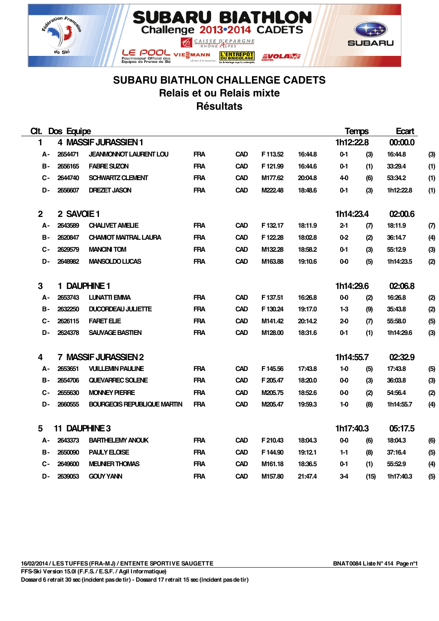



## **SUBARU BIATHLON CHALLENGE CADETS Relais et ou Relais mixte Résultats**

**SUBARU BIATHLON**<br>Challenge 2013-2014 CADETS

**L'ENTREPOT**<br>DU BRICOLAGE

**EVOLARAE** 

CAISSE D'EPARGNE

Fournisseur Officiel des<br>Equipes de France de Ski

| CIt.         | Dos Equipe    |                                    |            |            |          | <b>Temps</b> |           | Ecart |           |     |
|--------------|---------------|------------------------------------|------------|------------|----------|--------------|-----------|-------|-----------|-----|
| 1            |               | 4 MASSIF JURASSIEN 1               |            |            |          |              | 1h12:22.8 |       | 00:00.0   |     |
| А-           | 2654471       | <b>JEANMONNOT LAURENT LOU</b>      | <b>FRA</b> | <b>CAD</b> | F 113.52 | 16:44.8      | $0-1$     | (3)   | 16:44.8   | (3) |
| в-           | 2656165       | <b>FABRE SUZON</b>                 | <b>FRA</b> | <b>CAD</b> | F 121.99 | 16:44.6      | $0 - 1$   | (1)   | 33:29.4   | (1) |
| $C -$        | 2644740       | <b>SCHWARTZ CLEMENT</b>            | <b>FRA</b> | <b>CAD</b> | M177.62  | 20:04.8      | 4-0       | (6)   | 53:34.2   | (1) |
| D-           | 2656607       | <b>DREZET JASON</b>                | <b>FRA</b> | <b>CAD</b> | M222.48  | 18:48.6      | $0 - 1$   | (3)   | 1h12:22.8 | (1) |
| $\mathbf{2}$ | 2 SAVOIE 1    |                                    |            |            |          |              | 1h14:23.4 |       | 02:00.6   |     |
| А-           | 2643589       | <b>CHALIVET AMELIE</b>             | <b>FRA</b> | CAD        | F 132.17 | 18:11.9      | $2 - 1$   | (7)   | 18:11.9   | (7) |
| в-           | 2620847       | <b>CHAMIOT MAITRAL LAURA</b>       | <b>FRA</b> | CAD        | F122.28  | 18:02.8      | $0 - 2$   | (2)   | 36:14.7   | (4) |
| С-           | 2629579       | <b>MANCINI TOM</b>                 | <b>FRA</b> | <b>CAD</b> | M132.28  | 18:58.2      | $0 - 1$   | (3)   | 55:12.9   | (3) |
| D-           | 2648982       | <b>MANSOLDO LUCAS</b>              | <b>FRA</b> | CAD        | M163.88  | 19:10.6      | 0-0       | (5)   | 1h14:23.5 | (2) |
| 3            |               | 1 DAUPHINE 1                       |            |            |          |              | 1h14:29.6 |       | 02:06.8   |     |
| А-           | 2653743       | <b>LUNATTI EMMA</b>                | <b>FRA</b> | CAD        | F 137.51 | 16:26.8      | $0 - 0$   | (2)   | 16:26.8   | (2) |
| в-           | 2632250       | <b>DUCORDEAU JULIETTE</b>          | <b>FRA</b> | <b>CAD</b> | F130.24  | 19:17.0      | 1-3       | (9)   | 35:43.8   | (2) |
| С-           | 2626115       | <b>FARET ELIE</b>                  | <b>FRA</b> | <b>CAD</b> | M141.42  | 20:14.2      | $2-0$     | (7)   | 55:58.0   | (5) |
| D-           | 2624378       | <b>SAUVAGE BASTIEN</b>             | <b>FRA</b> | CAD        | M128.00  | 18:31.6      | $0 - 1$   | (1)   | 1h14:29.6 | (3) |
| 4            |               | 7 MASSIF JURASSIEN 2               |            |            |          |              | 1h14:55.7 |       | 02:32.9   |     |
| А-           | 2653651       | <b>VUILLEMIN PAULINE</b>           | <b>FRA</b> | <b>CAD</b> | F145.56  | 17:43.8      | $1-0$     | (5)   | 17:43.8   | (5) |
| в-           | 2654706       | QUEVARREC SOLENE                   | <b>FRA</b> | <b>CAD</b> | F 205.47 | 18:20.0      | 0-0       | (3)   | 36:03.8   | (3) |
| С-           | 2655630       | <b>MONNEY PIERRE</b>               | <b>FRA</b> | CAD        | M205.75  | 18:52.6      | $0 - 0$   | (2)   | 54.56.4   | (2) |
| D-           | 2660555       | <b>BOURGEOIS REPUBLIQUE MARTIN</b> | <b>FRA</b> | <b>CAD</b> | M205.47  | 19:59.3      | $1-0$     | (8)   | 1h14:55.7 | (4) |
| 5            | 11 DAUPHINE 3 |                                    |            |            |          |              | 1h17:40.3 |       | 05:17.5   |     |
| А-           | 2643373       | <b>BARTHELEMY ANOUK</b>            | <b>FRA</b> | <b>CAD</b> | F 210.43 | 18:04.3      | $0 - 0$   | (6)   | 18:04.3   | (6) |
| в-           | 2650090       | <b>PAULY ELOISE</b>                | <b>FRA</b> | <b>CAD</b> | F144.90  | 19:12.1      | $1 - 1$   | (8)   | 37:16.4   | (5) |
| С-           | 2649600       | <b>MEUNER THOMAS</b>               | <b>FRA</b> | <b>CAD</b> | M161.18  | 18:36.5      | $0 - 1$   | (1)   | 55:52.9   | (4) |
| D-           | 2639053       | <b>GOUY YANN</b>                   | <b>FRA</b> | CAD        | M157.80  | 21:47.4      | 3-4       | (15)  | 1h17:40.3 | (5) |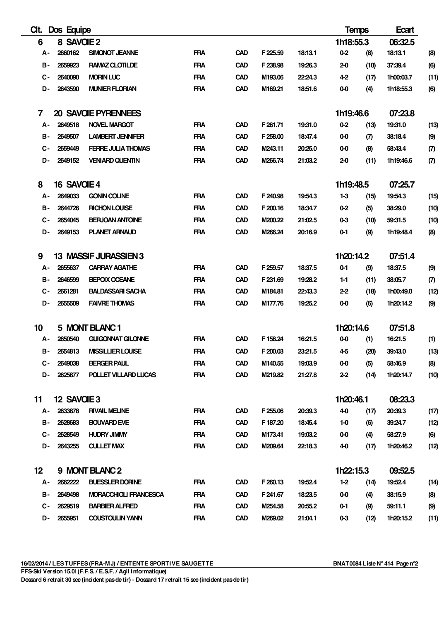| CIL.      | Dos Equipe  |                            |            |            |          |         | <b>Temps</b> |      | Ecart     |      |
|-----------|-------------|----------------------------|------------|------------|----------|---------|--------------|------|-----------|------|
| 6         | 8 SAVOIE 2  |                            |            |            |          |         | 1h18:55.3    |      | 06:32.5   |      |
| А-        | 2660162     | SIMONOT JEANNE             | <b>FRA</b> | <b>CAD</b> | F 225.59 | 18:13.1 | $0-2$        | (8)  | 18:13.1   | (8)  |
| в-        | 2659923     | RAMAZ CLOTILDE             | <b>FRA</b> | <b>CAD</b> | F 238.98 | 19:26.3 | $2-0$        | (10) | 37:39.4   | (6)  |
| С-        | 2640090     | <b>MORIN LUC</b>           | <b>FRA</b> | <b>CAD</b> | M193.06  | 22:24.3 | $4-2$        | (17) | 1h00:03.7 | (11) |
| D-        | 2643590     | <b>MUNIER FLORIAN</b>      | <b>FRA</b> | <b>CAD</b> | M169.21  | 18:51.6 | $0 - 0$      | (4)  | 1h18:55.3 | (6)  |
| 7         |             | <b>20 SAVOIE PYRENNEES</b> |            |            |          |         | 1h19:46.6    |      | 07:23.8   |      |
| А-        | 2649518     | <b>NOVEL MARGOT</b>        | <b>FRA</b> | <b>CAD</b> | F 261.71 | 19:31.0 | $0-2$        | (13) | 19:31.0   | (13) |
| в-        | 2649507     | <b>LAMBERT JENNIFER</b>    | <b>FRA</b> | <b>CAD</b> | F258.00  | 18:47.4 | $0 - 0$      | (7)  | 38:18.4   | (9)  |
| С-        | 2659449     | <b>FERRE JULIA THOMAS</b>  | <b>FRA</b> | <b>CAD</b> | M243.11  | 20:25.0 | $0 - 0$      | (8)  | 58:43.4   | (7)  |
| D-        | 2649152     | <b>VENIARD QUENTIN</b>     | <b>FRA</b> | <b>CAD</b> | M266.74  | 21:03.2 | $2-0$        | (11) | 1h19:46.6 | (7)  |
| 8         | 16 SAVOIE 4 |                            |            |            |          |         | 1h19:48.5    |      | 07:25.7   |      |
| А-        | 2649033     | <b>GONIN COLINE</b>        | <b>FRA</b> | <b>CAD</b> | F 240.98 | 19:54.3 | $1-3$        | (15) | 19:54.3   | (15) |
| в-        | 2644726     | <b>RICHON LOUISE</b>       | <b>FRA</b> | <b>CAD</b> | F 200.16 | 18:34.7 | 0-2          | (5)  | 38:29.0   | (10) |
| С-        | 2654045     | <b>BERJOAN ANTOINE</b>     | <b>FRA</b> | <b>CAD</b> | M200.22  | 21:02.5 | 0-3          | (10) | 59:31.5   | (10) |
| D-        | 2649153     | <b>PLANET ARNAUD</b>       | <b>FRA</b> | <b>CAD</b> | M266.24  | 20:16.9 | $0-1$        | (9)  | 1h19:48.4 | (8)  |
| 9         |             | 13 MASSIF JURASSIEN 3      |            |            |          |         | 1h20:14.2    |      | 07:51.4   |      |
| А-        | 2655637     | <b>CARRAY AGATHE</b>       | <b>FRA</b> | <b>CAD</b> | F 259.57 | 18:37.5 | $0-1$        | (9)  | 18:37.5   | (9)  |
| <b>B-</b> | 2646599     | <b>BEPOIX OCEANE</b>       | <b>FRA</b> | <b>CAD</b> | F231.69  | 19:28.2 | $1 - 1$      | (11) | 38:05.7   | (7)  |
| С-        | 2661281     | <b>BALDASSARI SACHA</b>    | <b>FRA</b> | <b>CAD</b> | M184.81  | 22:43.3 | $2 - 2$      | (18) | 1h00:49.0 | (12) |
| D-        | 2655509     | <b>FAIVRE THOMAS</b>       | <b>FRA</b> | <b>CAD</b> | M177.76  | 19:25.2 | $0 - 0$      | (6)  | 1h20:14.2 | (9)  |
| 10        |             | 5 MONT BLANC 1             |            |            |          |         | 1h20:14.6    |      | 07:51.8   |      |
| А-        | 2650540     | <b>GUIGONNAT GILONNE</b>   | <b>FRA</b> | <b>CAD</b> | F 158.24 | 16:21.5 | $0 - 0$      | (1)  | 16:21.5   | (1)  |
| <b>B-</b> | 2654813     | <b>MISSILLIER LOUISE</b>   | <b>FRA</b> | <b>CAD</b> | F 200.03 | 23:21.5 | $4-5$        | (20) | 39:43.0   | (13) |
| С-        | 2649038     | <b>BERGER PAUL</b>         | <b>FRA</b> | <b>CAD</b> | M140.55  | 19:03.9 | 0-0          | (5)  | 58:46.9   | (8)  |
| D-        | 2625877     | POLLET VILLARD LUCAS       | <b>FRA</b> | <b>CAD</b> | M219.82  | 21:27.8 | $2 - 2$      | (14) | 1h20:14.7 | (10) |
| 11        | 12 SAVOIE 3 |                            |            |            |          |         | 1h20:46.1    |      | 08:23.3   |      |
| А-        | 2633878     | <b>RIVAIL MELINE</b>       | <b>FRA</b> | <b>CAD</b> | F255.06  | 20:39.3 | 4-0          | (17) | 20:39.3   | (17) |
| в-        | 2628683     | <b>BOUVARD EVE</b>         | <b>FRA</b> | <b>CAD</b> | F 187.20 | 18:45.4 | 1-0          | (6)  | 39:24.7   | (12) |
| C-        | 2628549     | <b>HUDRY JIMMY</b>         | <b>FRA</b> | <b>CAD</b> | M173.41  | 19:03.2 | 0-0          | (4)  | 58:27.9   | (6)  |
| D-        | 2643255     | <b>CULLET MAX</b>          | <b>FRA</b> | <b>CAD</b> | M209.64  | 22:18.3 | 4-0          | (17) | 1h20:46.2 | (12) |
| $12 \,$   |             | 9 MONT BLANC 2             |            |            |          |         | 1h22:15.3    |      | 09:52.5   |      |
| А-        | 2662222     | <b>BUESSLER DORINE</b>     | <b>FRA</b> | <b>CAD</b> | F260.13  | 19:52.4 | $1-2$        | (14) | 19:52.4   | (14) |
| в-        | 2649498     | MORACCHIOLI FRANCESCA      | <b>FRA</b> | <b>CAD</b> | F 241.67 | 18:23.5 | 0-0          | (4)  | 38:15.9   | (8)  |
| С-        | 2629519     | <b>BARBIER ALFRED</b>      | <b>FRA</b> | <b>CAD</b> | M254.58  | 20:55.2 | $0 - 1$      | (9)  | 59:11.1   | (9)  |
| D-        | 2655951     | <b>COUSTOULIN YANN</b>     | <b>FRA</b> | <b>CAD</b> | M269.02  | 21:04.1 | 0-3          | (12) | 1h20:15.2 | (11) |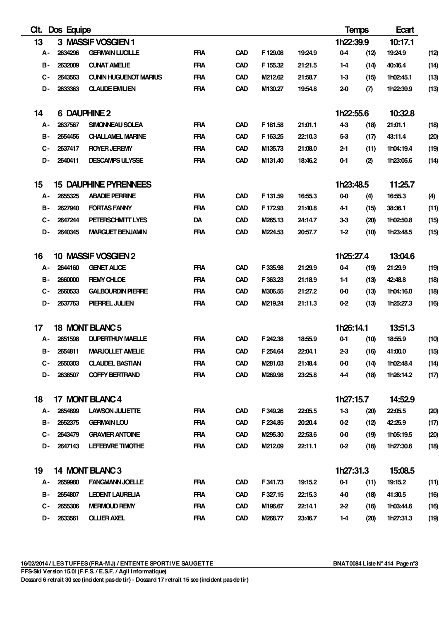| CIt.      | Dos Equipe |                              |            |            |          |         | <b>Temps</b>     |      | Ecart     |      |
|-----------|------------|------------------------------|------------|------------|----------|---------|------------------|------|-----------|------|
| 13        |            | 3 MASSIF VOSGIEN 1           |            |            |          |         | 1h22:39.9        |      | 10:17.1   |      |
| А-        | 2634296    | <b>GERMAIN LUCILLE</b>       | <b>FRA</b> | <b>CAD</b> | F129.08  | 19:24.9 | $0 - 4$          | (12) | 19:24.9   | (12) |
| в-        | 2632009    | <b>CUNAT AMELIE</b>          | <b>FRA</b> | <b>CAD</b> | F 155.32 | 21:21.5 | 1-4              | (14) | 40:46.4   | (14) |
| С-        | 2643563    | <b>CUNIN HUGUENOT MARIUS</b> | <b>FRA</b> | <b>CAD</b> | M212.62  | 21:58.7 | $1-3$            | (15) | 1h02:45.1 | (13) |
| D-        | 2633363    | <b>CLAUDE EMILIEN</b>        | <b>FRA</b> | <b>CAD</b> | M130.27  | 19:54.8 | $2-0$            | (7)  | 1h22:39.9 | (13) |
| 14        |            | <b>6 DAUPHINE 2</b>          |            |            |          |         | 1h22:55.6        |      | 10:32.8   |      |
| А-        | 2637567    | <b>SIMONNEAU SOLEA</b>       | <b>FRA</b> | <b>CAD</b> | F 181.58 | 21:01.1 | $4-3$            | (18) | 21:01.1   | (18) |
| в-        | 2654456    | <b>CHALLAMEL MARINE</b>      | <b>FRA</b> | <b>CAD</b> | F163.25  | 22:10.3 | 5-3              | (17) | 43:11.4   | (20) |
| С-        | 2637417    | <b>ROYER JEREMY</b>          | <b>FRA</b> | <b>CAD</b> | M135.73  | 21:08.0 | $2 - 1$          | (11) | 1h04:19.4 | (19) |
| D-        | 2640411    | <b>DESCAMPS ULYSSE</b>       | <b>FRA</b> | <b>CAD</b> | M131.40  | 18:46.2 | $0 - 1$          | (2)  | 1h23:05.6 | (14) |
| 15        |            | <b>15 DAUPHINE PYRENNEES</b> |            |            |          |         | 1h23:48.5        |      | 11:25.7   |      |
| А-        | 2655325    | <b>ABADIE PERRINE</b>        | <b>FRA</b> | <b>CAD</b> | F 131.59 | 16:55.3 | $0 - 0$          | (4)  | 16:55.3   | (4)  |
| в-        | 2627940    | <b>FORTAS FANNY</b>          | <b>FRA</b> | <b>CAD</b> | F172.93  | 21:40.8 | 4-1              | (15) | 38:36.1   | (11) |
| С-        | 2647244    | PETERSCHMTT LYES             | <b>DA</b>  | <b>CAD</b> | M265.13  | 24:14.7 | 3-3              | (20) | 1h02:50.8 | (15) |
| D-        | 2640345    | <b>MARGUET BENJAMIN</b>      | <b>FRA</b> | <b>CAD</b> | M224.53  | 20:57.7 | $1-2$            | (10) | 1h23:48.5 | (15) |
| 16        |            | 10 MASSIF VOSGIEN 2          |            |            |          |         | 1h25:27.4        |      | 13:04.6   |      |
| А-        | 2644160    | <b>GENET ALICE</b>           | <b>FRA</b> | <b>CAD</b> | F 335.98 | 21:29.9 | $0 - 4$          | (19) | 21:29.9   | (19) |
| в-        | 2660000    | <b>REMY CHLOE</b>            | <b>FRA</b> | <b>CAD</b> | F363.23  | 21:18.9 | $1 - 1$          | (13) | 42:48.8   | (18) |
| <b>C-</b> | 2660533    | <b>GALBOURDIN PIERRE</b>     | <b>FRA</b> | <b>CAD</b> | M306.55  | 21:27.2 | $0 - 0$          | (13) | 1h04:16.0 | (18) |
| D-        | 2637763    | PIERREL JULIEN               | <b>FRA</b> | <b>CAD</b> | M219.24  | 21:11.3 | $0 - 2$          | (13) | 1h25:27.3 | (16) |
| 17        |            | 18 MONT BLANC 5              |            |            |          |         | 1h26:14.1        |      | 13:51.3   |      |
| А-        | 2651598    | <b>DUPERTHUY MAELLE</b>      | <b>FRA</b> | <b>CAD</b> | F 242.38 | 18:55.9 | $0 - 1$          | (10) | 18:55.9   | (10) |
| в-        | 2654811    | <b>MARJOLLET AMELIE</b>      | <b>FRA</b> | <b>CAD</b> | F254.64  | 22:04.1 | $2 - 3$          | (16) | 41:00.0   | (15) |
| C-        | 2650303    | <b>CLAUDEL BASTIAN</b>       | <b>FRA</b> | <b>CAD</b> | M281.03  | 21:48.4 | 0-0              | (14) | 1h02:48.4 | (14) |
| D-        | 2638507    | <b>COFFY BERTRAND</b>        | <b>FRA</b> | <b>CAD</b> | M269.98  | 23:25.8 | $4-4$            | (18) | 1h26:14.2 | (17) |
| 18        |            | 17 MONT BLANC 4              |            |            |          |         | <b>1h27:15.7</b> |      | 14:52.9   |      |
|           | A- 2654899 | <b>LAWSON JULIETTE</b>       | <b>FRA</b> | <b>CAD</b> | F 349.26 | 22:05.5 | $1 - 3$          | (20) | 22:05.5   | (20) |
| в-        | 2652375    | <b>GERMAIN LOU</b>           | <b>FRA</b> | <b>CAD</b> | F 234.85 | 20:20.4 | 0-2              | (12) | 42:25.9   | (17) |
| C-        | 2643479    | <b>GRAVIER ANTOINE</b>       | <b>FRA</b> | <b>CAD</b> | M295.30  | 22:53.6 | $0 - 0$          | (19) | 1h05:19.5 | (20) |
| D-        | 2647143    | <b>LEFEBVRE TIMOTHE</b>      | <b>FRA</b> | <b>CAD</b> | M212.09  | 22:11.1 | $0 - 2$          | (16) | 1h27:30.6 | (18) |
| 19        |            | 14 MONT BLANC 3              |            |            |          |         | <b>1h27:31.3</b> |      | 15:08.5   |      |
|           | A- 2659980 | <b>FANGMANN JOELLE</b>       | <b>FRA</b> | <b>CAD</b> | F341.73  | 19:15.2 | $0 - 1$          | (11) | 19:15.2   | (11) |
| в-        | 2654807    | <b>LEDENT LAURELIA</b>       | <b>FRA</b> | <b>CAD</b> | F 327.15 | 22:15.3 | 4-0              | (18) | 41:30.5   | (16) |
| C-        | 2655306    | <b>MERMOUD REMY</b>          | <b>FRA</b> | <b>CAD</b> | M196.67  | 22:14.1 | $2 - 2$          | (16) | 1h03:44.6 | (16) |
| D-        | 2633561    | <b>OLLIER AXEL</b>           | <b>FRA</b> | <b>CAD</b> | M268.77  | 23:46.7 | $1 - 4$          | (20) | 1h27:31.3 | (19) |